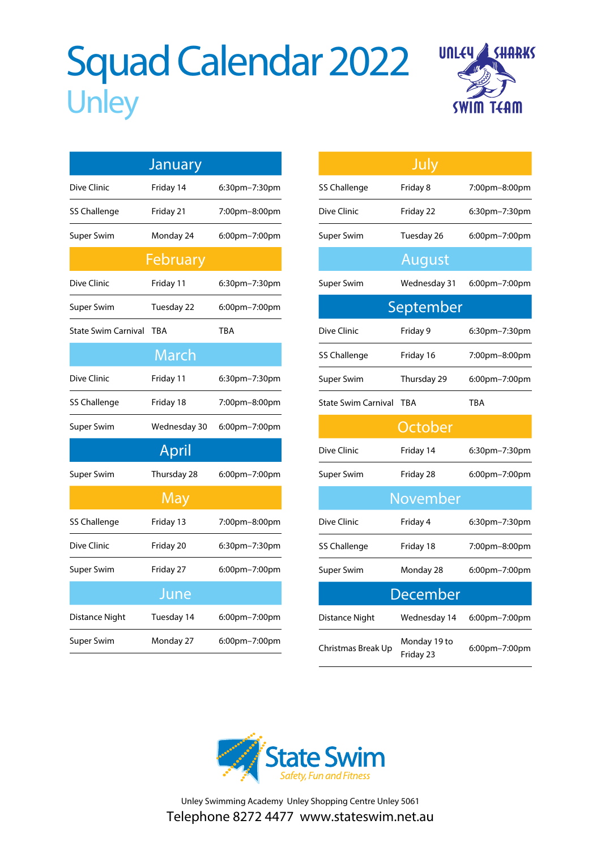# Squad Calendar 2022 **Unley**



|                            | <b>January</b>          |               |
|----------------------------|-------------------------|---------------|
| Dive Clinic                | Friday 14               | 6:30pm-7:30pm |
| SS Challenge               | Friday 21               | 7:00pm-8:00pm |
| Super Swim                 | Monday 24               | 6:00pm-7:00pm |
|                            | February                |               |
| Dive Clinic                | Friday 11               | 6:30pm-7:30pm |
| Super Swim                 | Tuesday 22              | 6:00pm-7:00pm |
| <b>State Swim Carnival</b> | TBA                     | TBA           |
|                            | March                   |               |
| Dive Clinic                | Friday 11               | 6:30pm-7:30pm |
| <b>SS Challenge</b>        | Friday 18               | 7:00pm-8:00pm |
| <b>Super Swim</b>          | Wednesday 30            | 6:00pm-7:00pm |
|                            | April                   |               |
| <b>Super Swim</b>          | Thursday 28             | 6:00pm-7:00pm |
|                            | $\overline{\text{May}}$ |               |
| <b>SS Challenge</b>        | Friday 13               | 7:00pm-8:00pm |
| Dive Clinic                | Friday 20               | 6:30pm-7:30pm |
| Super Swim                 | Friday 27               | 6:00pm-7:00pm |
|                            | June                    |               |
| Distance Night             | Tuesday 14              | 6:00pm-7:00pm |
| <b>Super Swim</b>          | Monday 27               | 6:00pm–7:00pm |

|                            | <b>July</b>               |               |  |  |
|----------------------------|---------------------------|---------------|--|--|
| SS Challenge               | Friday 8                  | 7:00pm-8:00pm |  |  |
| Dive Clinic                | Friday 22                 | 6:30pm-7:30pm |  |  |
| Super Swim                 | Tuesday 26                | 6:00pm-7:00pm |  |  |
|                            | August                    |               |  |  |
| <b>Super Swim</b>          | Wednesday 31              | 6:00pm-7:00pm |  |  |
| September                  |                           |               |  |  |
| Dive Clinic                | Friday 9                  | 6:30pm–7:30pm |  |  |
| SS Challenge               | Friday 16                 | 7:00pm-8:00pm |  |  |
| Super Swim                 | Thursday 29               | 6:00pm-7:00pm |  |  |
| <b>State Swim Carnival</b> | TBA                       | TBA           |  |  |
|                            | October                   |               |  |  |
| Dive Clinic                | Friday 14                 | 6:30pm-7:30pm |  |  |
| Super Swim                 | Friday 28                 | 6:00pm-7:00pm |  |  |
| November                   |                           |               |  |  |
| Dive Clinic                | Friday 4                  | 6:30pm–7:30pm |  |  |
| SS Challenge               | Friday 18                 | 7:00pm-8:00pm |  |  |
| <b>Super Swim</b>          | Monday 28                 | 6:00pm-7:00pm |  |  |
| December                   |                           |               |  |  |
| Distance Night             | Wednesday 14              | 6:00pm-7:00pm |  |  |
| Christmas Break Up         | Monday 19 to<br>Friday 23 | 6:00pm-7:00pm |  |  |



Unley Swimming Academy Unley Shopping Centre Unley 5061 Telephone 8272 4477 www.stateswim.net.au